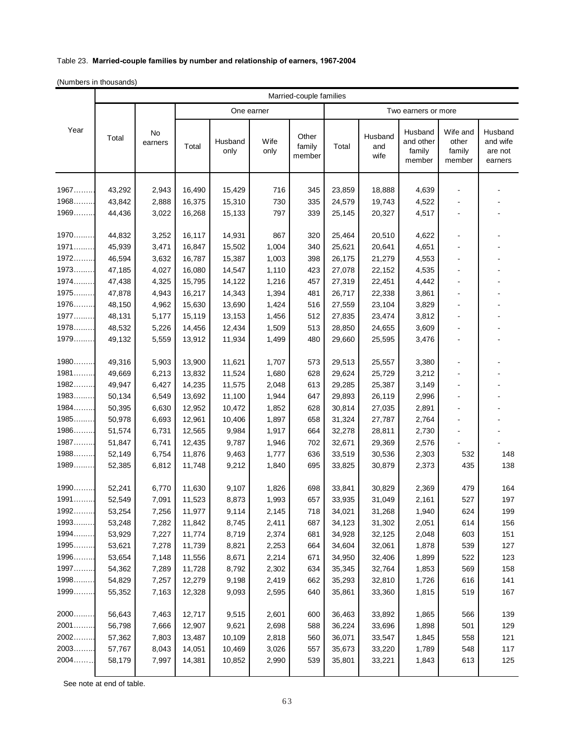## Table 23. **Married-couple families by number and relationship of earners, 1967-2004**

(Numbers in thousands)

|           | Married-couple families |               |            |                 |              |                           |                     |                        |                                          |                                       |                                           |  |
|-----------|-------------------------|---------------|------------|-----------------|--------------|---------------------------|---------------------|------------------------|------------------------------------------|---------------------------------------|-------------------------------------------|--|
| Year      | Total                   | No<br>earners | One earner |                 |              |                           | Two earners or more |                        |                                          |                                       |                                           |  |
|           |                         |               | Total      | Husband<br>only | Wife<br>only | Other<br>family<br>member | Total               | Husband<br>and<br>wife | Husband<br>and other<br>family<br>member | Wife and<br>other<br>family<br>member | Husband<br>and wife<br>are not<br>earners |  |
| $1967$    | 43,292                  | 2,943         | 16,490     | 15,429          | 716          | 345                       | 23,859              | 18,888                 | 4,639                                    |                                       |                                           |  |
| $1968$    | 43,842                  | 2,888         | 16,375     | 15,310          | 730          | 335                       | 24,579              | 19,743                 | 4,522                                    |                                       |                                           |  |
| $1969$    | 44,436                  | 3,022         | 16,268     | 15,133          | 797          | 339                       | 25,145              | 20,327                 | 4,517                                    |                                       |                                           |  |
|           |                         |               |            |                 |              |                           |                     |                        |                                          |                                       |                                           |  |
| 1970      | 44,832                  | 3,252         | 16,117     | 14,931          | 867          | 320                       | 25,464              | 20,510                 | 4,622                                    | $\blacksquare$                        |                                           |  |
| 1971      | 45,939                  | 3,471         | 16,847     | 15,502          | 1,004        | 340                       | 25,621              | 20,641                 | 4,651                                    |                                       |                                           |  |
| 1972      | 46,594                  | 3,632         | 16,787     | 15,387          | 1,003        | 398                       | 26,175              | 21,279                 | 4,553                                    |                                       |                                           |  |
| 1973      | 47,185                  | 4,027         | 16,080     | 14,547          | 1,110        | 423                       | 27,078              | 22,152                 | 4,535                                    |                                       |                                           |  |
| 1974      | 47,438                  | 4,325         | 15,795     | 14,122          | 1,216        | 457                       | 27,319              | 22,451                 | 4,442                                    | $\sim$                                |                                           |  |
| 1975      | 47,878                  | 4,943         | 16,217     | 14,343          | 1,394        | 481                       | 26,717              | 22,338                 | 3,861                                    |                                       |                                           |  |
| 1976      | 48,150                  | 4,962         | 15,630     | 13,690          | 1,424        | 516                       | 27,559              | 23,104                 | 3,829                                    |                                       |                                           |  |
| 1977      | 48,131                  | 5,177         | 15,119     | 13,153          | 1,456        | 512                       | 27,835              | 23,474                 | 3,812                                    |                                       |                                           |  |
| 1978      | 48,532                  | 5,226         | 14,456     | 12,434          | 1,509        | 513                       | 28,850              | 24,655                 | 3,609                                    |                                       |                                           |  |
| $1979$    | 49,132                  | 5,559         | 13,912     | 11,934          | 1,499        | 480                       | 29,660              | 25,595                 | 3,476                                    | $\blacksquare$                        |                                           |  |
| 1980      | 49,316                  | 5,903         | 13,900     | 11,621          | 1,707        | 573                       | 29,513              | 25,557                 | 3,380                                    | $\blacksquare$                        |                                           |  |
| 1981      | 49,669                  | 6,213         | 13,832     | 11,524          | 1,680        | 628                       | 29,624              | 25,729                 | 3,212                                    |                                       |                                           |  |
| 1982      | 49,947                  | 6,427         | 14,235     | 11,575          | 2,048        | 613                       | 29,285              | 25,387                 | 3,149                                    |                                       |                                           |  |
| 1983      | 50,134                  | 6,549         | 13,692     | 11,100          | 1,944        | 647                       | 29,893              | 26,119                 | 2,996                                    |                                       |                                           |  |
| $1984$    | 50,395                  | 6,630         | 12,952     | 10,472          | 1,852        | 628                       | 30,814              | 27,035                 | 2,891                                    |                                       |                                           |  |
| $1985$    | 50,978                  | 6,693         | 12,961     | 10,406          | 1,897        | 658                       | 31,324              | 27,787                 | 2,764                                    | $\blacksquare$                        |                                           |  |
| 1986      | 51,574                  | 6,731         | 12,565     | 9,984           | 1,917        | 664                       | 32,278              | 28,811                 | 2,730                                    |                                       |                                           |  |
| 1987      | 51,847                  | 6,741         | 12,435     | 9,787           | 1,946        | 702                       | 32,671              | 29,369                 | 2,576                                    |                                       |                                           |  |
| $1988$    | 52,149                  | 6,754         | 11,876     | 9,463           | 1,777        | 636                       | 33,519              | 30,536                 | 2,303                                    | 532                                   | 148                                       |  |
| $1989$    | 52,385                  | 6,812         | 11,748     | 9,212           | 1,840        | 695                       | 33,825              | 30,879                 | 2,373                                    | 435                                   | 138                                       |  |
| $1990$    | 52,241                  | 6,770         | 11,630     | 9,107           | 1,826        | 698                       | 33,841              | 30,829                 | 2,369                                    | 479                                   | 164                                       |  |
| $1991$    | 52,549                  | 7,091         | 11,523     | 8,873           | 1,993        | 657                       | 33,935              | 31,049                 | 2,161                                    | 527                                   | 197                                       |  |
| 1992      | 53,254                  | 7,256         | 11,977     | 9,114           | 2,145        | 718                       | 34,021              | 31,268                 | 1,940                                    | 624                                   | 199                                       |  |
| 1993<br>. | 53,248                  | 7,282         | 11,842     | 8,745           | 2,411        | 687                       | 34,123              | 31,302                 | 2,051                                    | 614                                   | 156                                       |  |
| 1994      | 53,929                  | 7,227         | 11,774     | 8,719           | 2,374        | 681                       | 34,928              | 32,125                 | 2,048                                    | 603                                   | 151                                       |  |
| 1995      | 53,621                  | 7,278         | 11,739     | 8,821           | 2,253        | 664                       | 34,604              | 32,061                 | 1,878                                    | 539                                   | 127                                       |  |
| 1996      | 53,654                  | 7,148         | 11,556     | 8,671           | 2,214        | 671                       | 34,950              | 32,406                 | 1,899                                    | 522                                   | 123                                       |  |
| 1997      | 54,362                  | 7,289         | 11,728     | 8,792           | 2,302        | 634                       | 35,345              | 32,764                 | 1,853                                    | 569                                   | 158                                       |  |
| 1998      | 54,829                  | 7,257         | 12,279     | 9,198           | 2,419        | 662                       | 35,293              | 32,810                 | 1,726                                    | 616                                   | 141                                       |  |
| 1999      | 55,352                  | 7,163         | 12,328     | 9,093           | 2,595        | 640                       | 35,861              | 33,360                 | 1,815                                    | 519                                   | 167                                       |  |
| 2000      | 56,643                  | 7,463         | 12,717     | 9,515           | 2,601        | 600                       | 36,463              | 33,892                 | 1,865                                    | 566                                   | 139                                       |  |
| 2001      | 56,798                  | 7,666         | 12,907     | 9,621           | 2,698        | 588                       | 36,224              | 33,696                 | 1,898                                    | 501                                   | 129                                       |  |
| 2002      | 57,362                  | 7,803         | 13,487     | 10,109          | 2,818        | 560                       | 36,071              | 33,547                 | 1,845                                    | 558                                   | 121                                       |  |
| 2003      | 57,767                  | 8,043         | 14,051     | 10,469          | 3,026        | 557                       | 35,673              | 33,220                 | 1,789                                    | 548                                   | 117                                       |  |
| 2004      | 58,179                  | 7,997         | 14,381     | 10,852          | 2,990        | 539                       | 35,801              | 33,221                 | 1,843                                    | 613                                   | 125                                       |  |
|           |                         |               |            |                 |              |                           |                     |                        |                                          |                                       |                                           |  |

See note at end of table.